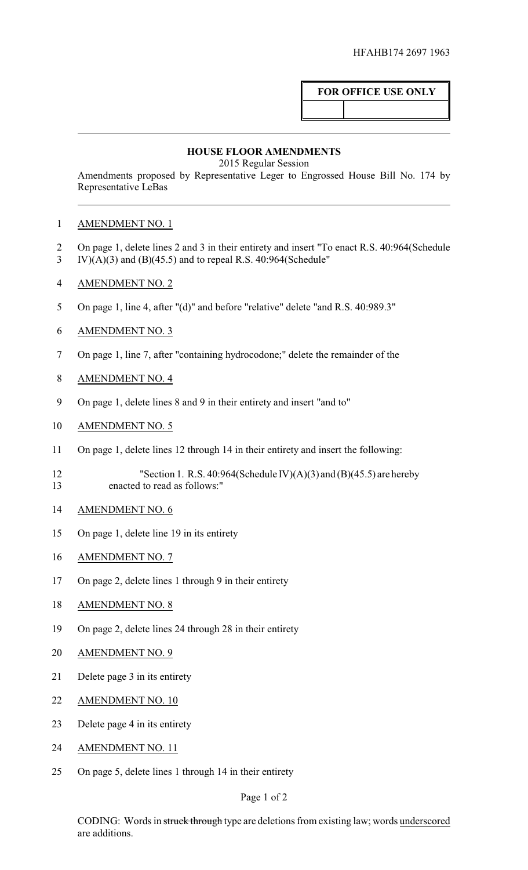## **FOR OFFICE USE ONLY**

## **HOUSE FLOOR AMENDMENTS**

2015 Regular Session

Amendments proposed by Representative Leger to Engrossed House Bill No. 174 by Representative LeBas

## AMENDMENT NO. 1

- 2 On page 1, delete lines 2 and 3 in their entirety and insert "To enact R.S. 40:964(Schedule
- IV)(A)(3) and (B)(45.5) and to repeal R.S. 40:964(Schedule"
- AMENDMENT NO. 2
- On page 1, line 4, after "(d)" and before "relative" delete "and R.S. 40:989.3"
- AMENDMENT NO. 3
- On page 1, line 7, after "containing hydrocodone;" delete the remainder of the
- AMENDMENT NO. 4
- On page 1, delete lines 8 and 9 in their entirety and insert "and to"
- AMENDMENT NO. 5
- On page 1, delete lines 12 through 14 in their entirety and insert the following:
- 12 "Section 1. R.S. 40:964(Schedule IV)(A)(3) and (B)(45.5) are hereby enacted to read as follows:"
- AMENDMENT NO. 6
- On page 1, delete line 19 in its entirety
- AMENDMENT NO. 7
- On page 2, delete lines 1 through 9 in their entirety
- 18 AMENDMENT NO. 8
- On page 2, delete lines 24 through 28 in their entirety
- AMENDMENT NO. 9
- Delete page 3 in its entirety
- AMENDMENT NO. 10
- Delete page 4 in its entirety
- AMENDMENT NO. 11
- On page 5, delete lines 1 through 14 in their entirety